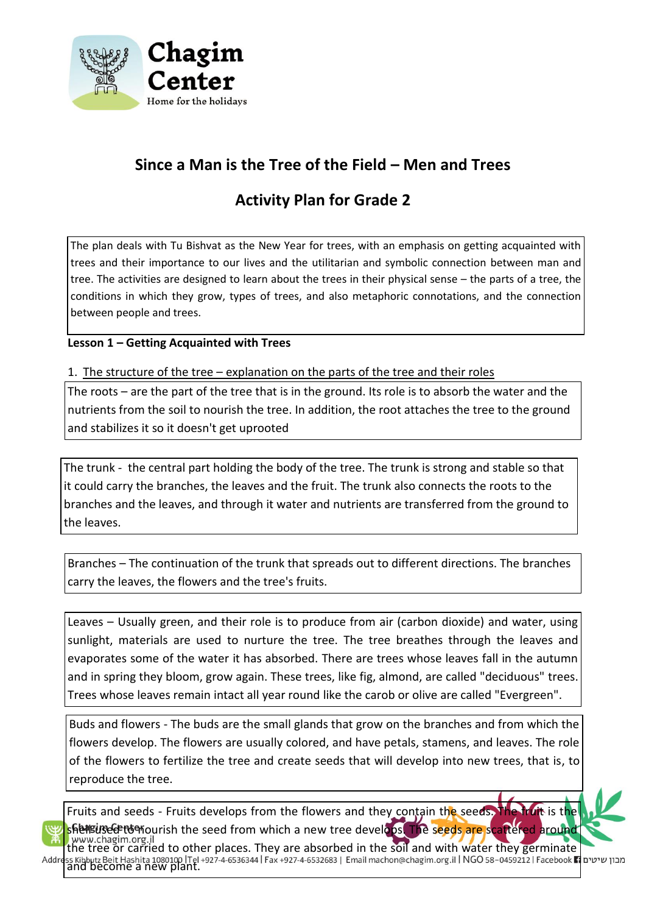

# **Since a Man is the Tree of the Field – Men and Trees**

# **Activity Plan for Grade 2**

The plan deals with Tu Bishvat as the New Year for trees, with an emphasis on getting acquainted with trees and their importance to our lives and the utilitarian and symbolic connection between man and tree. The activities are designed to learn about the trees in their physical sense – the parts of a tree, the conditions in which they grow, types of trees, and also metaphoric connotations, and the connection between people and trees.

**Lesson 1 – Getting Acquainted with Trees**

1. The structure of the tree – explanation on the parts of the tree and their roles

The roots – are the part of the tree that is in the ground. Its role is to absorb the water and the nutrients from the soil to nourish the tree. In addition, the root attaches the tree to the ground and stabilizes it so it doesn't get uprooted

The trunk - the central part holding the body of the tree. The trunk is strong and stable so that it could carry the branches, the leaves and the fruit. The trunk also connects the roots to the branches and the leaves, and through it water and nutrients are transferred from the ground to the leaves.

Branches – The continuation of the trunk that spreads out to different directions. The branches carry the leaves, the flowers and the tree's fruits.

Leaves – Usually green, and their role is to produce from air (carbon dioxide) and water, using sunlight, materials are used to nurture the tree. The tree breathes through the leaves and evaporates some of the water it has absorbed. There are trees whose leaves fall in the autumn and in spring they bloom, grow again. These trees, like fig, almond, are called "deciduous" trees. Trees whose leaves remain intact all year round like the carob or olive are called "Evergreen".

Buds and flowers - The buds are the small glands that grow on the branches and from which the flowers develop. The flowers are usually colored, and have petals, stamens, and leaves. The role of the flowers to fertilize the tree and create seeds that will develop into new trees, that is, to reproduce the tree.



Addr

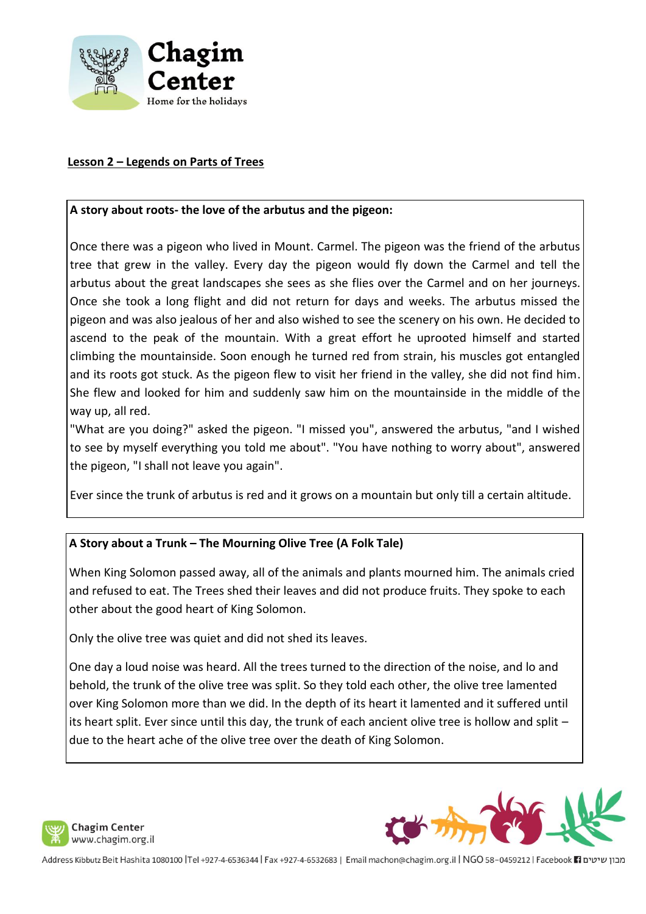

## **Lesson 2 – Legends on Parts of Trees**

#### **A story about roots- the love of the arbutus and the pigeon:**

Once there was a pigeon who lived in Mount. Carmel. The pigeon was the friend of the arbutus tree that grew in the valley. Every day the pigeon would fly down the Carmel and tell the arbutus about the great landscapes she sees as she flies over the Carmel and on her journeys. Once she took a long flight and did not return for days and weeks. The arbutus missed the pigeon and was also jealous of her and also wished to see the scenery on his own. He decided to ascend to the peak of the mountain. With a great effort he uprooted himself and started climbing the mountainside. Soon enough he turned red from strain, his muscles got entangled and its roots got stuck. As the pigeon flew to visit her friend in the valley, she did not find him. She flew and looked for him and suddenly saw him on the mountainside in the middle of the way up, all red.

"What are you doing?" asked the pigeon. "I missed you", answered the arbutus, "and I wished to see by myself everything you told me about". "You have nothing to worry about", answered the pigeon, "I shall not leave you again".

Ever since the trunk of arbutus is red and it grows on a mountain but only till a certain altitude.

# **A Story about a Trunk – The Mourning Olive Tree (A Folk Tale)**

When King Solomon passed away, all of the animals and plants mourned him. The animals cried and refused to eat. The Trees shed their leaves and did not produce fruits. They spoke to each other about the good heart of King Solomon.

Only the olive tree was quiet and did not shed its leaves.

One day a loud noise was heard. All the trees turned to the direction of the noise, and lo and behold, the trunk of the olive tree was split. So they told each other, the olive tree lamented over King Solomon more than we did. In the depth of its heart it lamented and it suffered until its heart split. Ever since until this day, the trunk of each ancient olive tree is hollow and split – due to the heart ache of the olive tree over the death of King Solomon.



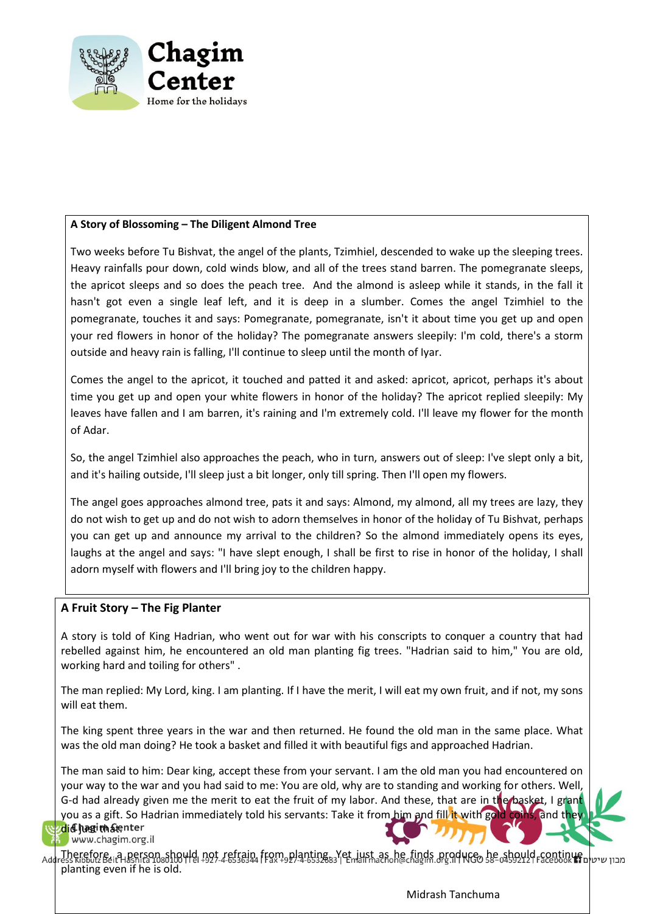

#### **A Story of Blossoming – The Diligent Almond Tree**

Two weeks before Tu Bishvat, the angel of the plants, Tzimhiel, descended to wake up the sleeping trees. Heavy rainfalls pour down, cold winds blow, and all of the trees stand barren. The pomegranate sleeps, the apricot sleeps and so does the peach tree. And the almond is asleep while it stands, in the fall it hasn't got even a single leaf left, and it is deep in a slumber. Comes the angel Tzimhiel to the pomegranate, touches it and says: Pomegranate, pomegranate, isn't it about time you get up and open your red flowers in honor of the holiday? The pomegranate answers sleepily: I'm cold, there's a storm outside and heavy rain is falling, I'll continue to sleep until the month of Iyar.

Comes the angel to the apricot, it touched and patted it and asked: apricot, apricot, perhaps it's about time you get up and open your white flowers in honor of the holiday? The apricot replied sleepily: My leaves have fallen and I am barren, it's raining and I'm extremely cold. I'll leave my flower for the month of Adar.

So, the angel Tzimhiel also approaches the peach, who in turn, answers out of sleep: I've slept only a bit, and it's hailing outside, I'll sleep just a bit longer, only till spring. Then I'll open my flowers.

The angel goes approaches almond tree, pats it and says: Almond, my almond, all my trees are lazy, they do not wish to get up and do not wish to adorn themselves in honor of the holiday of Tu Bishvat, perhaps you can get up and announce my arrival to the children? So the almond immediately opens its eyes, laughs at the angel and says: "I have slept enough, I shall be first to rise in honor of the holiday, I shall adorn myself with flowers and I'll bring joy to the children happy.

#### **A Fruit Story – The Fig Planter**

A story is told of King Hadrian, who went out for war with his conscripts to conquer a country that had rebelled against him, he encountered an old man planting fig trees. "Hadrian said to him," You are old, working hard and toiling for others" .

The man replied: My Lord, king. I am planting. If I have the merit, I will eat my own fruit, and if not, my sons will eat them.

The king spent three years in the war and then returned. He found the old man in the same place. What was the old man doing? He took a basket and filled it with beautiful figs and approached Hadrian.

The man said to him: Dear king, accept these from your servant. I am the old man you had encountered on your way to the war and you had said to me: You are old, why are to standing and working for others. Well, G-d had already given me the merit to eat the fruit of my labor. And these, that are in the basket, I grant you as a gift. So Hadrian immediately told his servants: Take it from him and fill it with gold coins, and they

<mark>/d</mark>i**d hagin fenter**<br>byww.chagim.org.il

Therefore, a person showld not refrain from planting. Yet just as he finds produce, he should continue, מבוו שיטי planting even if he is old.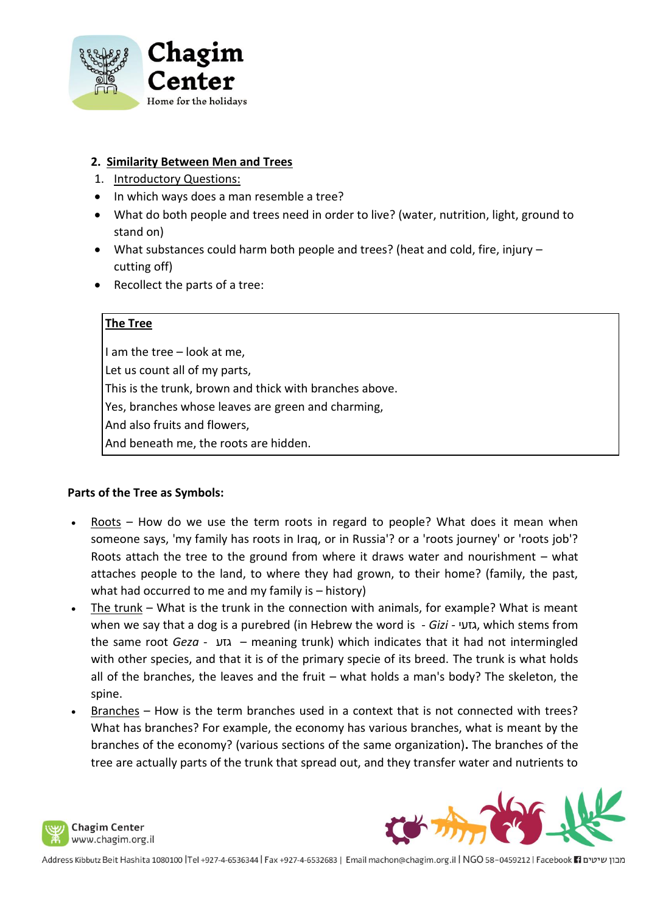

## **2. Similarity Between Men and Trees**

- 1. Introductory Questions:
- In which ways does a man resemble a tree?
- What do both people and trees need in order to live? (water, nutrition, light, ground to stand on)
- What substances could harm both people and trees? (heat and cold, fire, injury cutting off)
- Recollect the parts of a tree:

## **The Tree**

I am the tree – look at me, Let us count all of my parts, This is the trunk, brown and thick with branches above. Yes, branches whose leaves are green and charming, And also fruits and flowers, And beneath me, the roots are hidden.

#### **Parts of the Tree as Symbols:**

- $Roots How do we use the term roots in regard to people? What does it mean when$ someone says, 'my family has roots in Iraq, or in Russia'? or a 'roots journey' or 'roots job'? Roots attach the tree to the ground from where it draws water and nourishment – what attaches people to the land, to where they had grown, to their home? (family, the past, what had occurred to me and my family is – history)
- The trunk What is the trunk in the connection with animals, for example? What is meant when we say that a dog is a purebred (in Hebrew the word is - *Gizi -* גזעי, which stems from the same root *Geza* - גזע – meaning trunk) which indicates that it had not intermingled with other species, and that it is of the primary specie of its breed. The trunk is what holds all of the branches, the leaves and the fruit – what holds a man's body? The skeleton, the spine.
- Branches How is the term branches used in a context that is not connected with trees? What has branches? For example, the economy has various branches, what is meant by the branches of the economy? (various sections of the same organization)**.** The branches of the tree are actually parts of the trunk that spread out, and they transfer water and nutrients to



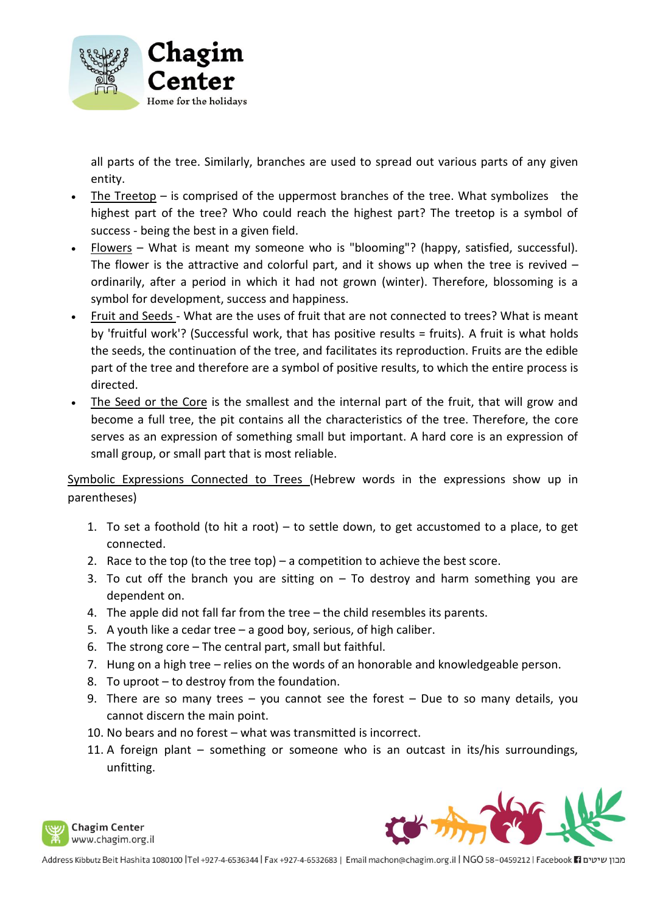

all parts of the tree. Similarly, branches are used to spread out various parts of any given entity.

- The Treetop is comprised of the uppermost branches of the tree. What symbolizes the highest part of the tree? Who could reach the highest part? The treetop is a symbol of success - being the best in a given field.
- Flowers What is meant my someone who is "blooming"? (happy, satisfied, successful). The flower is the attractive and colorful part, and it shows up when the tree is revived  $$ ordinarily, after a period in which it had not grown (winter). Therefore, blossoming is a symbol for development, success and happiness.
- Fruit and Seeds What are the uses of fruit that are not connected to trees? What is meant by 'fruitful work'? (Successful work, that has positive results = fruits). A fruit is what holds the seeds, the continuation of the tree, and facilitates its reproduction. Fruits are the edible part of the tree and therefore are a symbol of positive results, to which the entire process is directed.
- The Seed or the Core is the smallest and the internal part of the fruit, that will grow and become a full tree, the pit contains all the characteristics of the tree. Therefore, the core serves as an expression of something small but important. A hard core is an expression of small group, or small part that is most reliable.

Symbolic Expressions Connected to Trees (Hebrew words in the expressions show up in parentheses)

- 1. To set a foothold (to hit a root) to settle down, to get accustomed to a place, to get connected.
- 2. Race to the top (to the tree top) a competition to achieve the best score.
- 3. To cut off the branch you are sitting on To destroy and harm something you are dependent on.
- 4. The apple did not fall far from the tree the child resembles its parents.
- 5. A youth like a cedar tree a good boy, serious, of high caliber.
- 6. The strong core The central part, small but faithful.
- 7. Hung on a high tree relies on the words of an honorable and knowledgeable person.
- 8. To uproot to destroy from the foundation.
- 9. There are so many trees you cannot see the forest Due to so many details, you cannot discern the main point.
- 10. No bears and no forest what was transmitted is incorrect.
- 11. A foreign plant something or someone who is an outcast in its/his surroundings, unfitting.



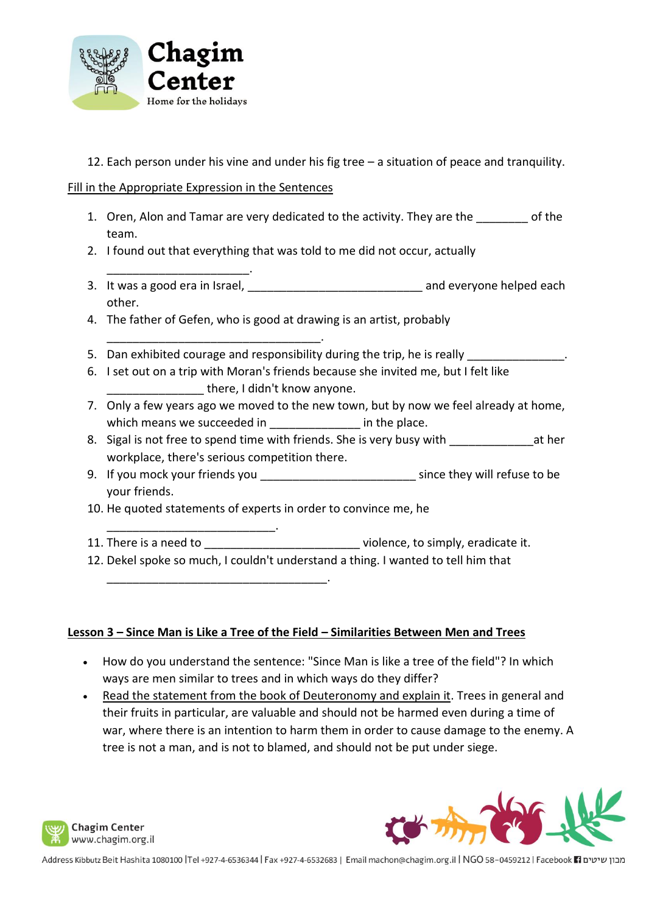

12. Each person under his vine and under his fig tree – a situation of peace and tranquility.

Fill in the Appropriate Expression in the Sentences

\_\_\_\_\_\_\_\_\_\_\_\_\_\_\_\_\_\_\_\_\_\_.

- 1. Oren, Alon and Tamar are very dedicated to the activity. They are the \_\_\_\_\_\_\_\_ of the team.
- 2. I found out that everything that was told to me did not occur, actually
- 3. It was a good era in Israel, \_\_\_\_\_\_\_\_\_\_\_\_\_\_\_\_\_\_\_\_\_\_\_\_\_\_\_\_\_\_\_\_\_\_\_ and everyone helped each other.
- 4. The father of Gefen, who is good at drawing is an artist, probably
- \_\_\_\_\_\_\_\_\_\_\_\_\_\_\_\_\_\_\_\_\_\_\_\_\_\_\_\_\_\_\_\_\_. 5. Dan exhibited courage and responsibility during the trip, he is really
- 6. I set out on a trip with Moran's friends because she invited me, but I felt like there, I didn't know anyone.
- 7. Only a few years ago we moved to the new town, but by now we feel already at home, which means we succeeded in  $\qquad \qquad$  in the place.
- 8. Sigal is not free to spend time with friends. She is very busy with \_\_\_\_\_\_\_\_\_\_\_\_\_\_\_\_\_at her workplace, there's serious competition there.
- 9. If you mock your friends you \_\_\_\_\_\_\_\_\_\_\_\_\_\_\_\_\_\_\_\_\_\_\_\_\_\_\_\_\_\_\_ since they will refuse to be your friends.
- 10. He quoted statements of experts in order to convince me, he
- 11. There is a need to \_\_\_\_\_\_\_\_\_\_\_\_\_\_\_\_\_\_\_\_\_\_\_\_\_\_\_\_violence, to simply, eradicate it.
- 12. Dekel spoke so much, I couldn't understand a thing. I wanted to tell him that

\_\_\_\_\_\_\_\_\_\_\_\_\_\_\_\_\_\_\_\_\_\_\_\_\_\_\_\_\_\_\_\_\_\_.

\_\_\_\_\_\_\_\_\_\_\_\_\_\_\_\_\_\_\_\_\_\_\_\_\_\_.

# **Lesson 3 – Since Man is Like a Tree of the Field – Similarities Between Men and Trees**

- How do you understand the sentence: "Since Man is like a tree of the field"? In which ways are men similar to trees and in which ways do they differ?
- Read the statement from the book of Deuteronomy and explain it. Trees in general and their fruits in particular, are valuable and should not be harmed even during a time of war, where there is an intention to harm them in order to cause damage to the enemy. A tree is not a man, and is not to blamed, and should not be put under siege.



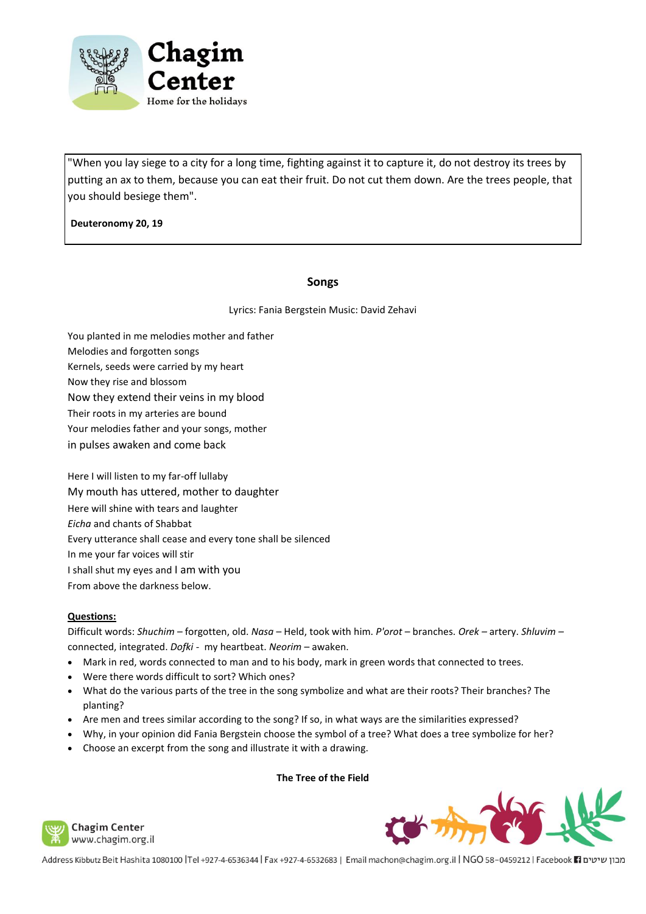

"When you lay siege to a city for a long time, fighting against it to capture it, do not destroy its trees by putting an ax to them, because you can eat their fruit. Do not cut them down. Are the trees people, that you should besiege them".

**Deuteronomy 20, 19**

#### **Songs**

Lyrics: Fania Bergstein Music: David Zehavi

- You planted in me melodies mother and father
- Melodies and forgotten songs
- Kernels, seeds were carried by my heart
- Now they rise and blossom
- Now they extend their veins in my blood
- Their roots in my arteries are bound
- Your melodies father and your songs, mother
- in pulses awaken and come back

Here I will listen to my far-off lullaby My mouth has uttered, mother to daughter Here will shine with tears and laughter *Eicha* and chants of Shabbat Every utterance shall cease and every tone shall be silenced In me your far voices will stir I shall shut my eyes and I am with you From above the darkness below.

#### **Questions:**

Difficult words: *Shuchim* – forgotten, old. *Nasa* – Held, took with him. *P'orot* – branches. *Orek –* artery. *Shluvim –* connected, integrated. *Dofki -* my heartbeat. *Neorim* – awaken.

- Mark in red, words connected to man and to his body, mark in green words that connected to trees.
- Were there words difficult to sort? Which ones?
- What do the various parts of the tree in the song symbolize and what are their roots? Their branches? The planting?
- Are men and trees similar according to the song? If so, in what ways are the similarities expressed?
- Why, in your opinion did Fania Bergstein choose the symbol of a tree? What does a tree symbolize for her?
- Choose an excerpt from the song and illustrate it with a drawing.

**The Tree of the Field**





**Chagim Center** www.chagim.org.il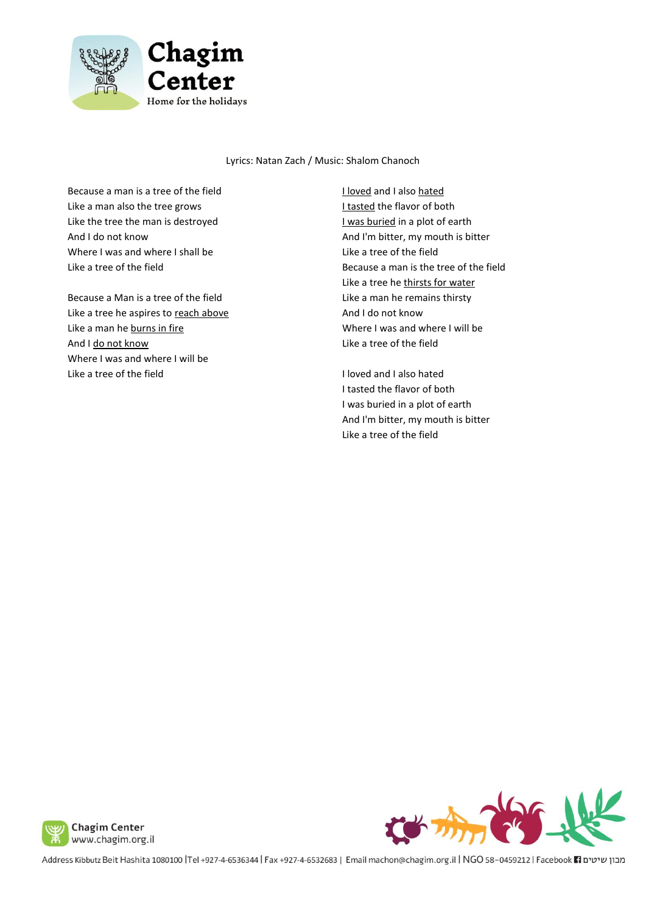

Lyrics: Natan Zach / Music: Shalom Chanoch

Because a man is a tree of the field Like a man also the tree grows Like the tree the man is destroyed And I do not know Where I was and where I shall be Like a tree of the field

Because a Man is a tree of the field Like a tree he aspires to reach above Like a man he burns in fire And I do not know Where I was and where I will be Like a tree of the field

I loved and I also hated I tasted the flavor of both I was buried in a plot of earth And I'm bitter, my mouth is bitter Like a tree of the field Because a man is the tree of the field Like a tree he thirsts for water Like a man he remains thirsty And I do not know Where I was and where I will be Like a tree of the field

I loved and I also hated I tasted the flavor of both I was buried in a plot of earth And I'm bitter, my mouth is bitter Like a tree of the field



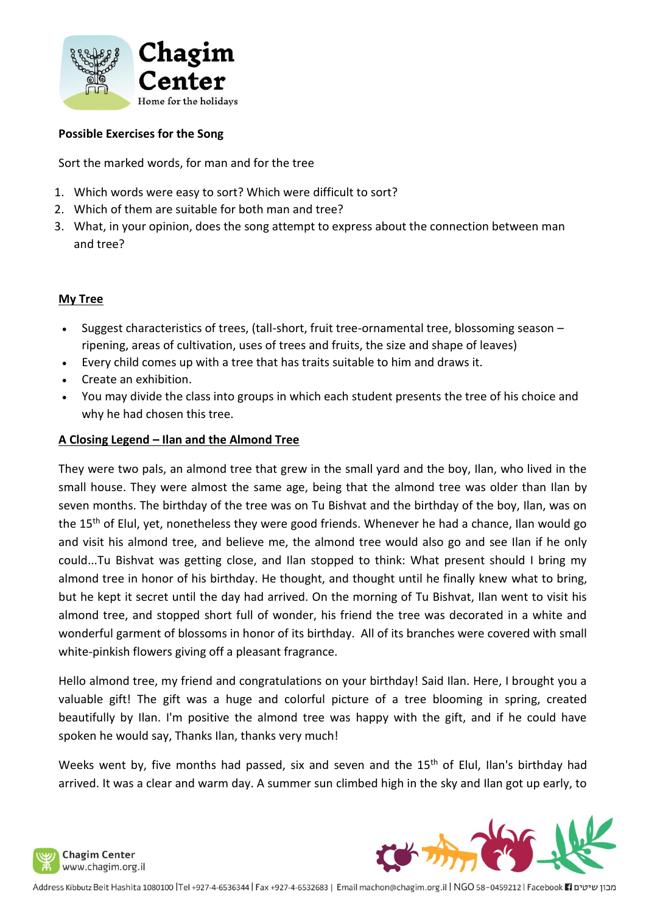

#### **Possible Exercises for the Song**

Sort the marked words, for man and for the tree

- 1. Which words were easy to sort? Which were difficult to sort?
- 2. Which of them are suitable for both man and tree?
- 3. What, in your opinion, does the song attempt to express about the connection between man and tree?

#### **My Tree**

- Suggest characteristics of trees, (tall-short, fruit tree-ornamental tree, blossoming season ripening, areas of cultivation, uses of trees and fruits, the size and shape of leaves)
- Every child comes up with a tree that has traits suitable to him and draws it.
- Create an exhibition.
- You may divide the class into groups in which each student presents the tree of his choice and why he had chosen this tree.

#### **A Closing Legend – Ilan and the Almond Tree**

They were two pals, an almond tree that grew in the small yard and the boy, Ilan, who lived in the small house. They were almost the same age, being that the almond tree was older than Ilan by seven months. The birthday of the tree was on Tu Bishvat and the birthday of the boy, Ilan, was on the 15<sup>th</sup> of Elul, yet, nonetheless they were good friends. Whenever he had a chance, Ilan would go and visit his almond tree, and believe me, the almond tree would also go and see Ilan if he only could...Tu Bishvat was getting close, and Ilan stopped to think: What present should I bring my almond tree in honor of his birthday. He thought, and thought until he finally knew what to bring, but he kept it secret until the day had arrived. On the morning of Tu Bishvat, Ilan went to visit his almond tree, and stopped short full of wonder, his friend the tree was decorated in a white and wonderful garment of blossoms in honor of its birthday. All of its branches were covered with small white-pinkish flowers giving off a pleasant fragrance.

Hello almond tree, my friend and congratulations on your birthday! Said Ilan. Here, I brought you a valuable gift! The gift was a huge and colorful picture of a tree blooming in spring, created beautifully by Ilan. I'm positive the almond tree was happy with the gift, and if he could have spoken he would say, Thanks Ilan, thanks very much!

Weeks went by, five months had passed, six and seven and the 15<sup>th</sup> of Elul, Ilan's birthday had arrived. It was a clear and warm day. A summer sun climbed high in the sky and Ilan got up early, to